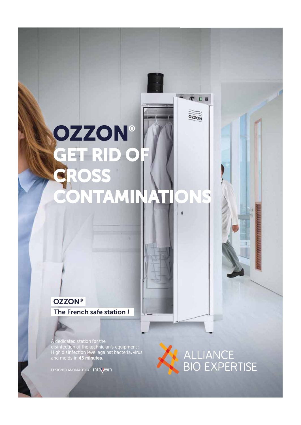## **GZZON®**<br>GET RID O **CROSS CONTAMINATIONS**

## **OZZON® The French safe station !**

A dedicated station for the disinfection of the technician's equipment : High disinfection level against bacteria, virus and molds in **45 minutes.**

*DESIGNED AND MADE BY :*



● □ ■

OZZON